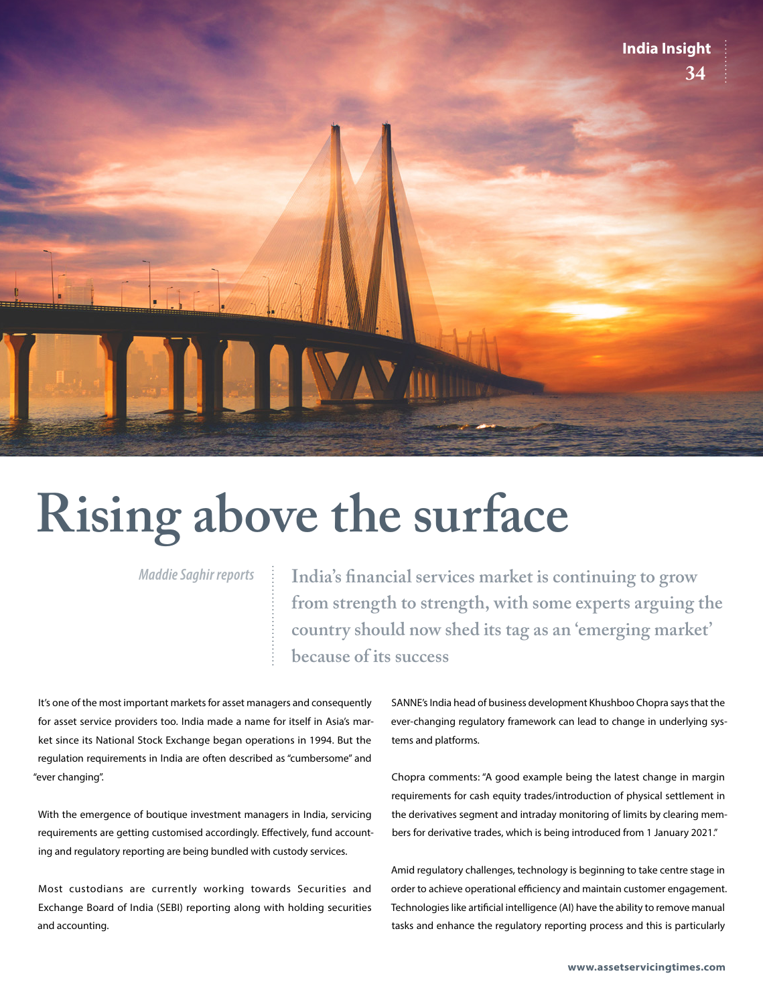

## **Rising above the surface**

*Maddie Saghir reports*

**India's financial services market is continuing to grow from strength to strength, with some experts arguing the country should now shed its tag as an 'emerging market' because of its success**

It's one of the most important markets for asset managers and consequently for asset service providers too. India made a name for itself in Asia's market since its National Stock Exchange began operations in 1994. But the regulation requirements in India are often described as "cumbersome" and "ever changing".

With the emergence of boutique investment managers in India, servicing requirements are getting customised accordingly. Effectively, fund accounting and regulatory reporting are being bundled with custody services.

Most custodians are currently working towards Securities and Exchange Board of India (SEBI) reporting along with holding securities and accounting.

SANNE's India head of business development Khushboo Chopra says that the ever-changing regulatory framework can lead to change in underlying systems and platforms.

Chopra comments: "A good example being the latest change in margin requirements for cash equity trades/introduction of physical settlement in the derivatives segment and intraday monitoring of limits by clearing members for derivative trades, which is being introduced from 1 January 2021."

Amid regulatory challenges, technology is beginning to take centre stage in order to achieve operational efficiency and maintain customer engagement. Technologies like artificial intelligence (AI) have the ability to remove manual tasks and enhance the regulatory reporting process and this is particularly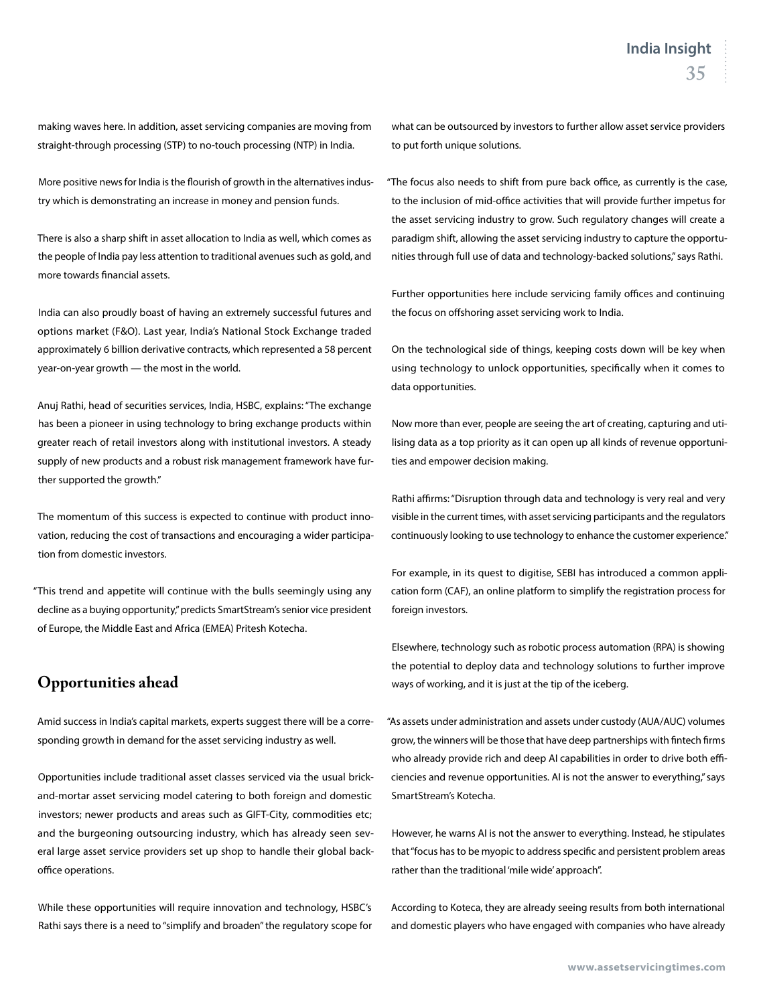making waves here. In addition, asset servicing companies are moving from straight-through processing (STP) to no-touch processing (NTP) in India.

More positive news for India is the flourish of growth in the alternatives industry which is demonstrating an increase in money and pension funds.

There is also a sharp shift in asset allocation to India as well, which comes as the people of India pay less attention to traditional avenues such as gold, and more towards financial assets.

India can also proudly boast of having an extremely successful futures and options market (F&O). Last year, India's National Stock Exchange traded approximately 6 billion derivative contracts, which represented a 58 percent year-on-year growth — the most in the world.

Anuj Rathi, head of securities services, India, HSBC, explains: "The exchange has been a pioneer in using technology to bring exchange products within greater reach of retail investors along with institutional investors. A steady supply of new products and a robust risk management framework have further supported the growth."

The momentum of this success is expected to continue with product innovation, reducing the cost of transactions and encouraging a wider participation from domestic investors.

"This trend and appetite will continue with the bulls seemingly using any decline as a buying opportunity," predicts SmartStream's senior vice president of Europe, the Middle East and Africa (EMEA) Pritesh Kotecha.

## **Opportunities ahead**

Amid success in India's capital markets, experts suggest there will be a corresponding growth in demand for the asset servicing industry as well.

Opportunities include traditional asset classes serviced via the usual brickand-mortar asset servicing model catering to both foreign and domestic investors; newer products and areas such as GIFT-City, commodities etc; and the burgeoning outsourcing industry, which has already seen several large asset service providers set up shop to handle their global backoffice operations.

While these opportunities will require innovation and technology, HSBC's Rathi says there is a need to "simplify and broaden" the regulatory scope for what can be outsourced by investors to further allow asset service providers to put forth unique solutions.

"The focus also needs to shift from pure back office, as currently is the case, to the inclusion of mid-office activities that will provide further impetus for the asset servicing industry to grow. Such regulatory changes will create a paradigm shift, allowing the asset servicing industry to capture the opportunities through full use of data and technology-backed solutions," says Rathi.

Further opportunities here include servicing family offices and continuing the focus on offshoring asset servicing work to India.

On the technological side of things, keeping costs down will be key when using technology to unlock opportunities, specifically when it comes to data opportunities.

Now more than ever, people are seeing the art of creating, capturing and utilising data as a top priority as it can open up all kinds of revenue opportunities and empower decision making.

Rathi affirms: "Disruption through data and technology is very real and very visible in the current times, with asset servicing participants and the regulators continuously looking to use technology to enhance the customer experience."

For example, in its quest to digitise, SEBI has introduced a common application form (CAF), an online platform to simplify the registration process for foreign investors.

Elsewhere, technology such as robotic process automation (RPA) is showing the potential to deploy data and technology solutions to further improve ways of working, and it is just at the tip of the iceberg.

"As assets under administration and assets under custody (AUA/AUC) volumes grow, the winners will be those that have deep partnerships with fintech firms who already provide rich and deep AI capabilities in order to drive both efficiencies and revenue opportunities. AI is not the answer to everything," says SmartStream's Kotecha.

However, he warns AI is not the answer to everything. Instead, he stipulates that "focus has to be myopic to address specific and persistent problem areas rather than the traditional 'mile wide' approach".

According to Koteca, they are already seeing results from both international and domestic players who have engaged with companies who have already